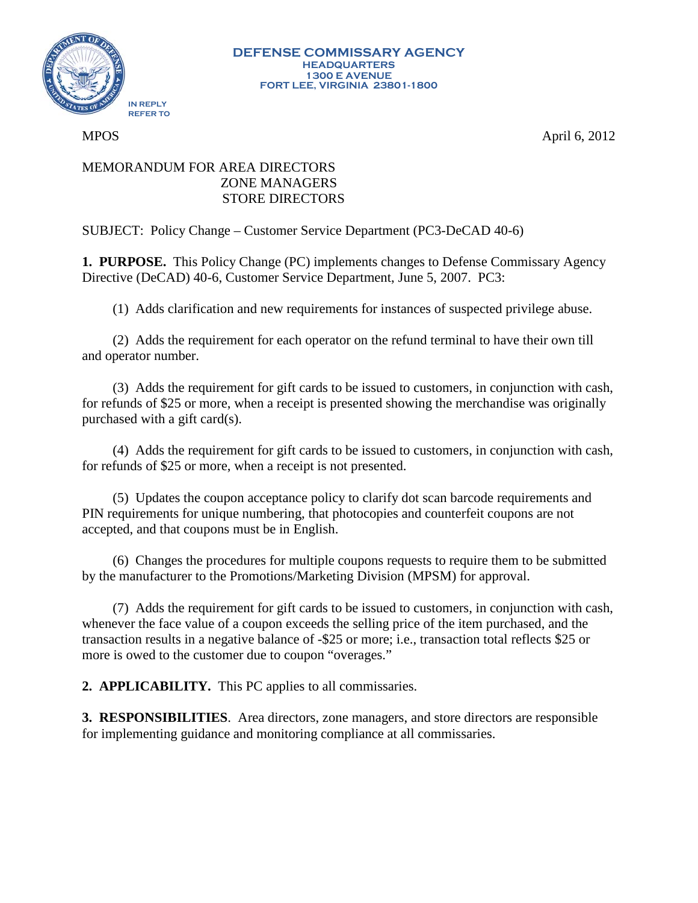

MPOS April 6, 2012

## MEMORANDUM FOR AREA DIRECTORS ZONE MANAGERS STORE DIRECTORS

SUBJECT: Policy Change – Customer Service Department (PC3-DeCAD 40-6)

**1. PURPOSE.** This Policy Change (PC) implements changes to Defense Commissary Agency Directive (DeCAD) 40-6, Customer Service Department, June 5, 2007. PC3:

(1) Adds clarification and new requirements for instances of suspected privilege abuse.

(2) Adds the requirement for each operator on the refund terminal to have their own till and operator number.

(3) Adds the requirement for gift cards to be issued to customers, in conjunction with cash, for refunds of \$25 or more, when a receipt is presented showing the merchandise was originally purchased with a gift card(s).

(4) Adds the requirement for gift cards to be issued to customers, in conjunction with cash, for refunds of \$25 or more, when a receipt is not presented.

(5) Updates the coupon acceptance policy to clarify dot scan barcode requirements and PIN requirements for unique numbering, that photocopies and counterfeit coupons are not accepted, and that coupons must be in English.

(6) Changes the procedures for multiple coupons requests to require them to be submitted by the manufacturer to the Promotions/Marketing Division (MPSM) for approval.

(7) Adds the requirement for gift cards to be issued to customers, in conjunction with cash, whenever the face value of a coupon exceeds the selling price of the item purchased, and the transaction results in a negative balance of -\$25 or more; i.e., transaction total reflects \$25 or more is owed to the customer due to coupon "overages."

**2. APPLICABILITY.** This PC applies to all commissaries.

**3. RESPONSIBILITIES**. Area directors, zone managers, and store directors are responsible for implementing guidance and monitoring compliance at all commissaries.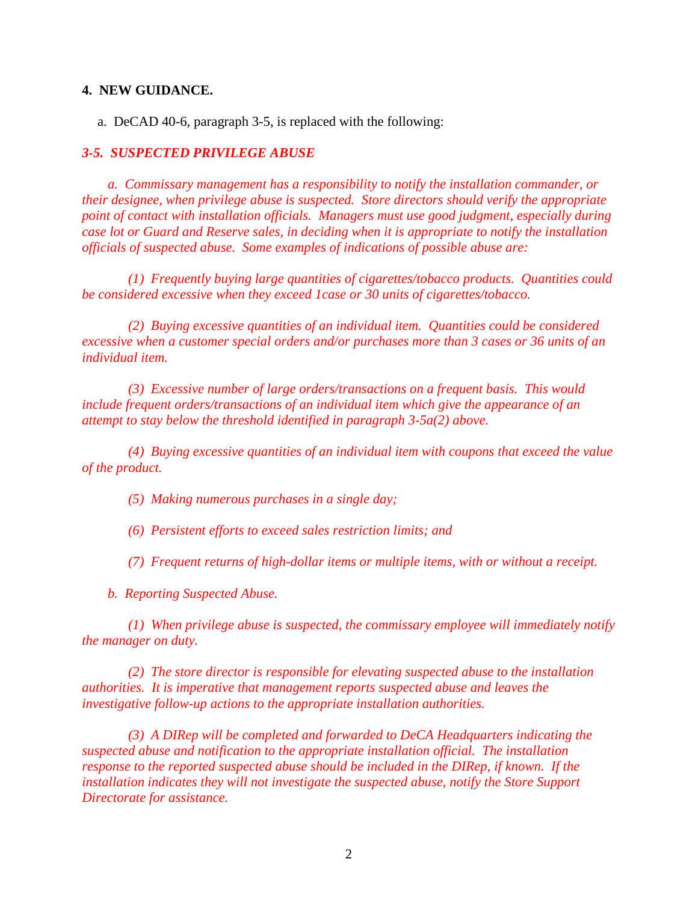## **4. NEW GUIDANCE.**

a. DeCAD 40-6, paragraph 3-5, is replaced with the following:

## *3-5. SUSPECTED PRIVILEGE ABUSE*

*a. Commissary management has a responsibility to notify the installation commander, or their designee, when privilege abuse is suspected. Store directors should verify the appropriate point of contact with installation officials. Managers must use good judgment, especially during case lot or Guard and Reserve sales, in deciding when it is appropriate to notify the installation officials of suspected abuse. Some examples of indications of possible abuse are:*

*(1) Frequently buying large quantities of cigarettes/tobacco products. Quantities could be considered excessive when they exceed 1case or 30 units of cigarettes/tobacco.*

*(2) Buying excessive quantities of an individual item. Quantities could be considered excessive when a customer special orders and/or purchases more than 3 cases or 36 units of an individual item.*

*(3) Excessive number of large orders/transactions on a frequent basis. This would include frequent orders/transactions of an individual item which give the appearance of an attempt to stay below the threshold identified in paragraph 3-5a(2) above.* 

*(4) Buying excessive quantities of an individual item with coupons that exceed the value of the product.*

*(5) Making numerous purchases in a single day;* 

*(6) Persistent efforts to exceed sales restriction limits; and*

*(7) Frequent returns of high-dollar items or multiple items, with or without a receipt.* 

*b. Reporting Suspected Abuse.*

*(1) When privilege abuse is suspected, the commissary employee will immediately notify the manager on duty.*

*(2) The store director is responsible for elevating suspected abuse to the installation authorities. It is imperative that management reports suspected abuse and leaves the investigative follow-up actions to the appropriate installation authorities.* 

*(3) A DIRep will be completed and forwarded to DeCA Headquarters indicating the suspected abuse and notification to the appropriate installation official. The installation response to the reported suspected abuse should be included in the DIRep, if known. If the installation indicates they will not investigate the suspected abuse, notify the Store Support Directorate for assistance.*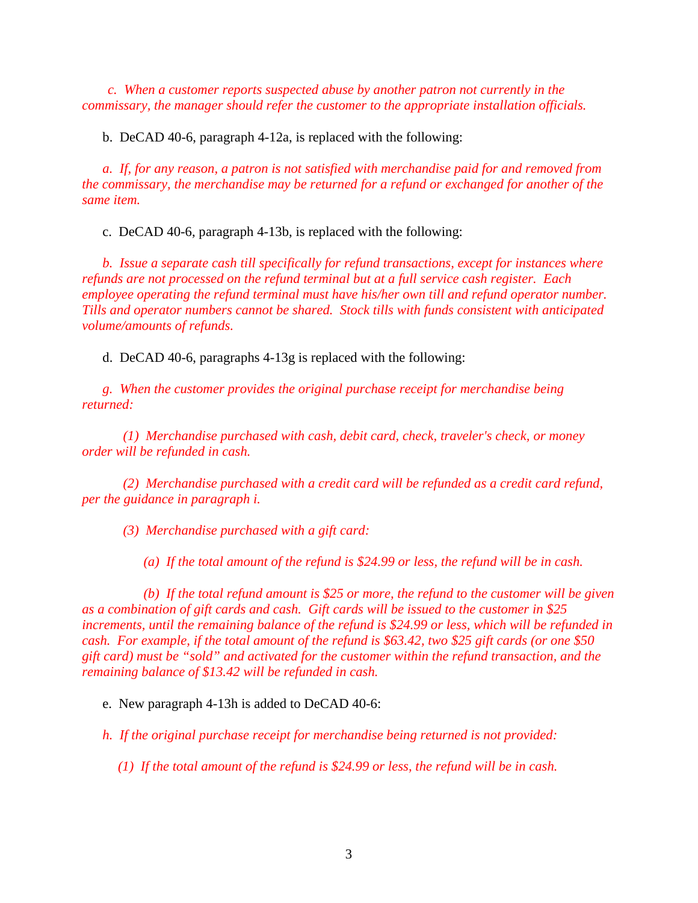*c. When a customer reports suspected abuse by another patron not currently in the commissary, the manager should refer the customer to the appropriate installation officials.* 

b. DeCAD 40-6, paragraph 4-12a, is replaced with the following:

*a. If, for any reason, a patron is not satisfied with merchandise paid for and removed from the commissary, the merchandise may be returned for a refund or exchanged for another of the same item.* 

c. DeCAD 40-6, paragraph 4-13b, is replaced with the following:

*b. Issue a separate cash till specifically for refund transactions, except for instances where refunds are not processed on the refund terminal but at a full service cash register. Each employee operating the refund terminal must have his/her own till and refund operator number. Tills and operator numbers cannot be shared. Stock tills with funds consistent with anticipated volume/amounts of refunds.*

d. DeCAD 40-6, paragraphs 4-13g is replaced with the following:

*g. When the customer provides the original purchase receipt for merchandise being returned:*

*(1) Merchandise purchased with cash, debit card, check, traveler's check, or money order will be refunded in cash.* 

*(2) Merchandise purchased with a credit card will be refunded as a credit card refund, per the guidance in paragraph i.* 

*(3) Merchandise purchased with a gift card:*

*(a) If the total amount of the refund is \$24.99 or less, the refund will be in cash.* 

*(b) If the total refund amount is \$25 or more, the refund to the customer will be given as a combination of gift cards and cash. Gift cards will be issued to the customer in \$25 increments, until the remaining balance of the refund is \$24.99 or less, which will be refunded in cash. For example, if the total amount of the refund is \$63.42, two \$25 gift cards (or one \$50 gift card) must be "sold" and activated for the customer within the refund transaction, and the remaining balance of \$13.42 will be refunded in cash.*

e. New paragraph 4-13h is added to DeCAD 40-6:

*h. If the original purchase receipt for merchandise being returned is not provided:*

*(1) If the total amount of the refund is \$24.99 or less, the refund will be in cash.*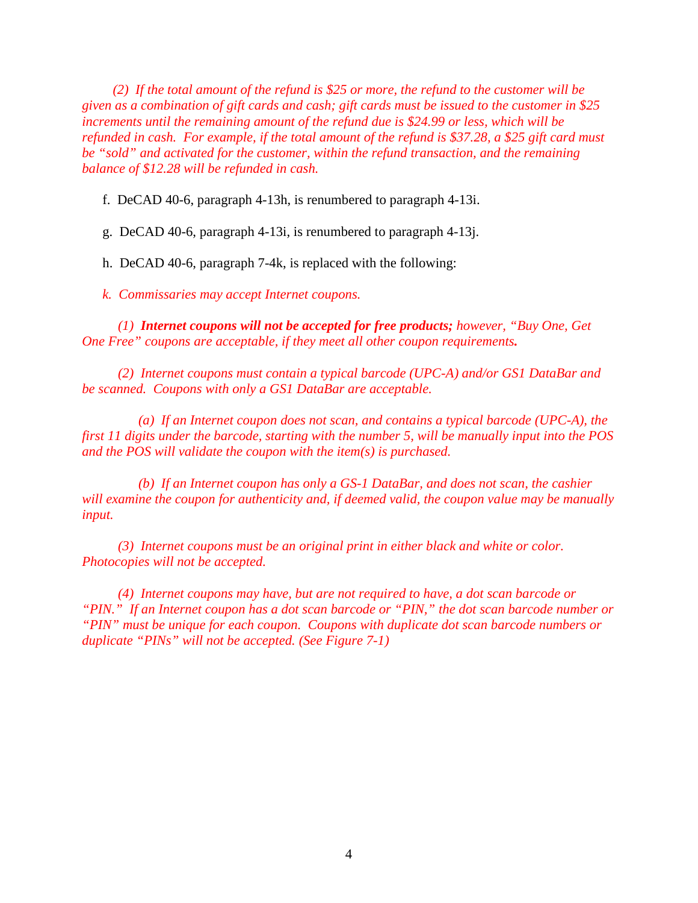*(2) If the total amount of the refund is \$25 or more, the refund to the customer will be given as a combination of gift cards and cash; gift cards must be issued to the customer in \$25 increments until the remaining amount of the refund due is \$24.99 or less, which will be refunded in cash. For example, if the total amount of the refund is \$37.28, a \$25 gift card must be "sold" and activated for the customer, within the refund transaction, and the remaining balance of \$12.28 will be refunded in cash.*

f. DeCAD 40-6, paragraph 4-13h, is renumbered to paragraph 4-13i.

g. DeCAD 40-6, paragraph 4-13i, is renumbered to paragraph 4-13j.

h. DeCAD 40-6, paragraph 7-4k, is replaced with the following:

*k. Commissaries may accept Internet coupons.* 

*(1) Internet coupons will not be accepted for free products; however, "Buy One, Get One Free" coupons are acceptable, if they meet all other coupon requirements.* 

*(2) Internet coupons must contain a typical barcode (UPC-A) and/or GS1 DataBar and be scanned. Coupons with only a GS1 DataBar are acceptable.*

*(a) If an Internet coupon does not scan, and contains a typical barcode (UPC-A), the first 11 digits under the barcode, starting with the number 5, will be manually input into the POS and the POS will validate the coupon with the item(s) is purchased.*

*(b) If an Internet coupon has only a GS-1 DataBar, and does not scan, the cashier will examine the coupon for authenticity and, if deemed valid, the coupon value may be manually input.* 

*(3) Internet coupons must be an original print in either black and white or color. Photocopies will not be accepted.*

*(4) Internet coupons may have, but are not required to have, a dot scan barcode or "PIN." If an Internet coupon has a dot scan barcode or "PIN," the dot scan barcode number or "PIN" must be unique for each coupon. Coupons with duplicate dot scan barcode numbers or duplicate "PINs" will not be accepted. (See Figure 7-1)*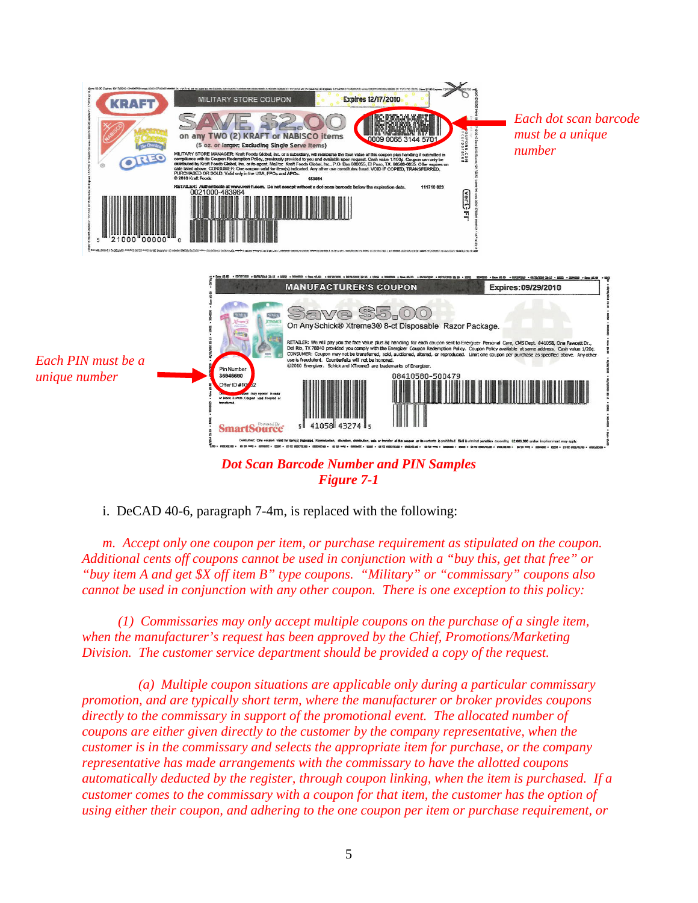

*Figure 7-1*

i. DeCAD 40-6, paragraph 7-4m, is replaced with the following:

*m. Accept only one coupon per item, or purchase requirement as stipulated on the coupon. Additional cents off coupons cannot be used in conjunction with a "buy this, get that free" or "buy item A and get \$X off item B" type coupons. "Military" or "commissary" coupons also cannot be used in conjunction with any other coupon. There is one exception to this policy:*

*(1) Commissaries may only accept multiple coupons on the purchase of a single item, when the manufacturer's request has been approved by the Chief, Promotions/Marketing Division. The customer service department should be provided a copy of the request.*

*(a) Multiple coupon situations are applicable only during a particular commissary promotion, and are typically short term, where the manufacturer or broker provides coupons directly to the commissary in support of the promotional event. The allocated number of coupons are either given directly to the customer by the company representative, when the customer is in the commissary and selects the appropriate item for purchase, or the company representative has made arrangements with the commissary to have the allotted coupons automatically deducted by the register, through coupon linking, when the item is purchased. If a customer comes to the commissary with a coupon for that item, the customer has the option of using either their coupon, and adhering to the one coupon per item or purchase requirement, or*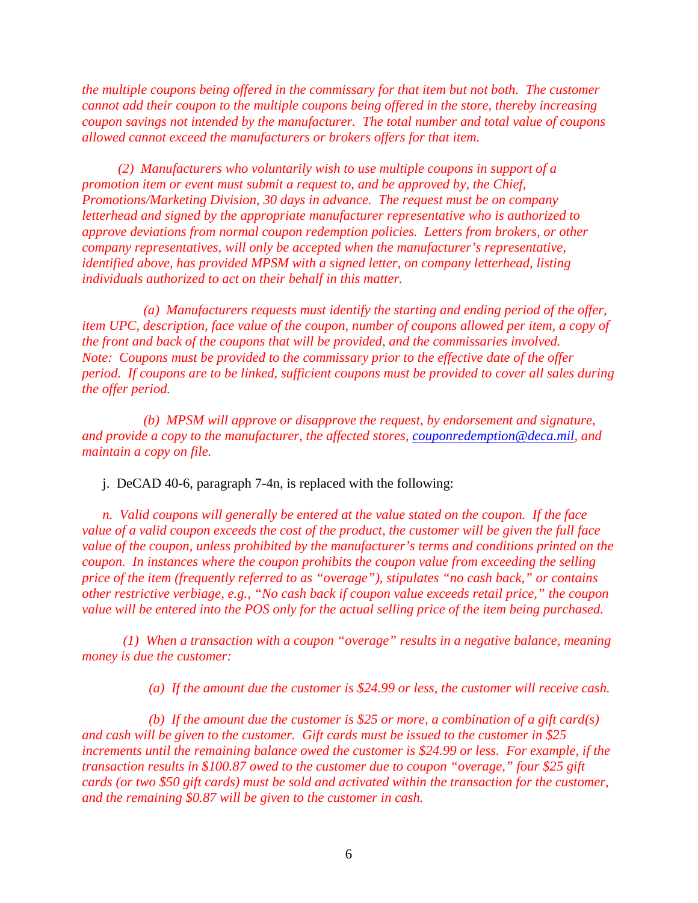*the multiple coupons being offered in the commissary for that item but not both. The customer cannot add their coupon to the multiple coupons being offered in the store, thereby increasing coupon savings not intended by the manufacturer. The total number and total value of coupons allowed cannot exceed the manufacturers or brokers offers for that item.*

*(2) Manufacturers who voluntarily wish to use multiple coupons in support of a promotion item or event must submit a request to, and be approved by, the Chief, Promotions/Marketing Division, 30 days in advance. The request must be on company letterhead and signed by the appropriate manufacturer representative who is authorized to approve deviations from normal coupon redemption policies. Letters from brokers, or other company representatives, will only be accepted when the manufacturer's representative, identified above, has provided MPSM with a signed letter, on company letterhead, listing individuals authorized to act on their behalf in this matter.* 

*(a) Manufacturers requests must identify the starting and ending period of the offer, item UPC, description, face value of the coupon, number of coupons allowed per item, a copy of the front and back of the coupons that will be provided, and the commissaries involved. Note: Coupons must be provided to the commissary prior to the effective date of the offer period. If coupons are to be linked, sufficient coupons must be provided to cover all sales during the offer period.* 

*(b) MPSM will approve or disapprove the request, by endorsement and signature, and provide a copy to the manufacturer, the affected stores, [couponredemption@deca.mil,](mailto:couponredemption@deca.mil) and maintain a copy on file.*

j. DeCAD 40-6, paragraph 7-4n, is replaced with the following:

*n. Valid coupons will generally be entered at the value stated on the coupon. If the face value of a valid coupon exceeds the cost of the product, the customer will be given the full face value of the coupon, unless prohibited by the manufacturer's terms and conditions printed on the coupon. In instances where the coupon prohibits the coupon value from exceeding the selling price of the item (frequently referred to as "overage"), stipulates "no cash back," or contains other restrictive verbiage, e.g., "No cash back if coupon value exceeds retail price," the coupon value will be entered into the POS only for the actual selling price of the item being purchased.* 

*(1) When a transaction with a coupon "overage" results in a negative balance, meaning money is due the customer:*

*(a) If the amount due the customer is \$24.99 or less, the customer will receive cash.*

*(b) If the amount due the customer is \$25 or more, a combination of a gift card(s) and cash will be given to the customer. Gift cards must be issued to the customer in \$25 increments until the remaining balance owed the customer is \$24.99 or less. For example, if the transaction results in \$100.87 owed to the customer due to coupon "overage," four \$25 gift cards (or two \$50 gift cards) must be sold and activated within the transaction for the customer, and the remaining \$0.87 will be given to the customer in cash.*